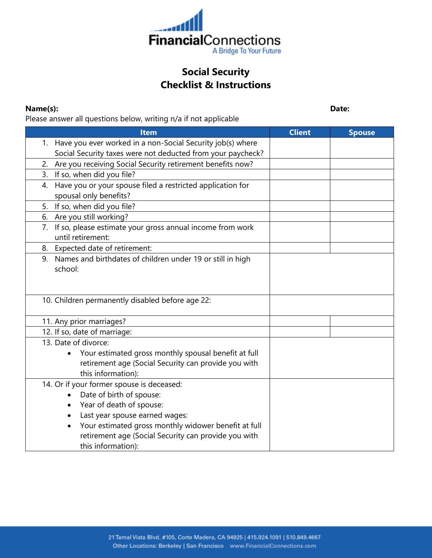

## **Social Security Checklist & Instructions**

## **Name(s): Date:**

Please answer all questions below, writing n/a if not applicable

| <b>Item</b>                                                       | <b>Client</b> | <b>Spouse</b> |
|-------------------------------------------------------------------|---------------|---------------|
| 1. Have you ever worked in a non-Social Security job(s) where     |               |               |
| Social Security taxes were not deducted from your paycheck?       |               |               |
| Are you receiving Social Security retirement benefits now?<br>2.  |               |               |
| If so, when did you file?<br>3.                                   |               |               |
| 4. Have you or your spouse filed a restricted application for     |               |               |
| spousal only benefits?                                            |               |               |
| 5. If so, when did you file?                                      |               |               |
| 6. Are you still working?                                         |               |               |
| If so, please estimate your gross annual income from work<br>7.   |               |               |
| until retirement:                                                 |               |               |
| 8. Expected date of retirement:                                   |               |               |
| 9. Names and birthdates of children under 19 or still in high     |               |               |
| school:                                                           |               |               |
|                                                                   |               |               |
|                                                                   |               |               |
| 10. Children permanently disabled before age 22:                  |               |               |
|                                                                   |               |               |
| 11. Any prior marriages?                                          |               |               |
| 12. If so, date of marriage:                                      |               |               |
| 13. Date of divorce:                                              |               |               |
| Your estimated gross monthly spousal benefit at full<br>$\bullet$ |               |               |
| retirement age (Social Security can provide you with              |               |               |
| this information):                                                |               |               |
| 14. Or if your former spouse is deceased:                         |               |               |
| Date of birth of spouse:                                          |               |               |
| Year of death of spouse:                                          |               |               |
| Last year spouse earned wages:                                    |               |               |
| Your estimated gross monthly widower benefit at full              |               |               |
| retirement age (Social Security can provide you with              |               |               |
| this information):                                                |               |               |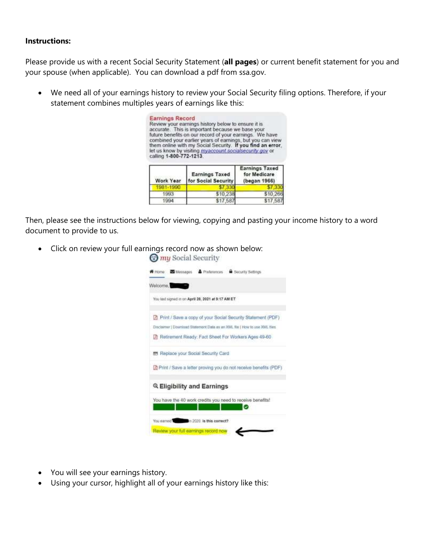## **Instructions:**

Please provide us with a recent Social Security Statement (**all pages**) or current benefit statement for you and your spouse (when applicable). You can download a pdf from ssa.gov.

 We need all of your earnings history to review your Social Security filing options. Therefore, if your statement combines multiples years of earnings like this:

| <b>Earnings Record</b><br>calling 1-800-772-1213 | Review your earnings history below to ensure it is<br>accurate. This is important because we base your<br>future benefits on our record of your earnings. We have<br>combined your earlier years of earnings, but you can view<br>them online with my Social Security. If you find an error,<br>let us know by visiting myaccount socialsecurity gov or |                                                       |
|--------------------------------------------------|---------------------------------------------------------------------------------------------------------------------------------------------------------------------------------------------------------------------------------------------------------------------------------------------------------------------------------------------------------|-------------------------------------------------------|
| Work Year                                        | <b>Earnings Taxed</b><br>for Social Security                                                                                                                                                                                                                                                                                                            | <b>Earnings Taxed</b><br>for Medicare<br>(began 1966) |
|                                                  |                                                                                                                                                                                                                                                                                                                                                         |                                                       |

\$10,238

\$17,587

\$10,266

\$17,587

Then, please see the instructions below for viewing, copying and pasting your income history to a word document to provide to us.

Click on review your full earnings record now as shown below:

1993 1994



- You will see your earnings history.
- Using your cursor, highlight all of your earnings history like this: